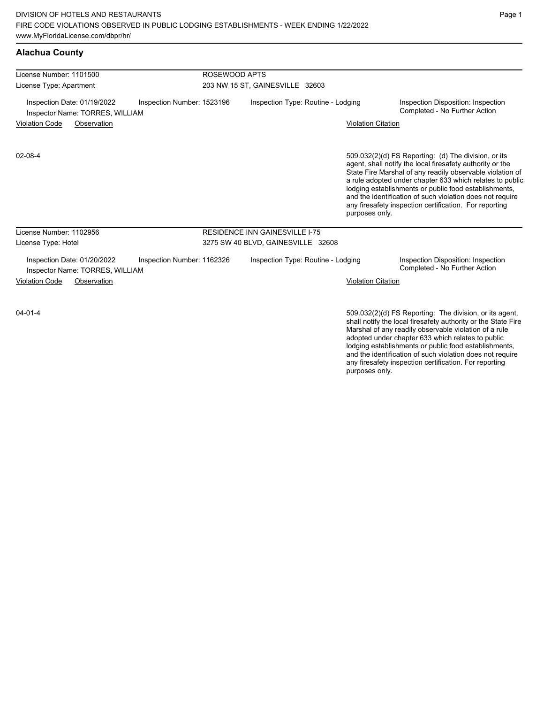| <b>Alachua County</b>                                          |                            |                                 |                                       |                           |                                                                                                                                                                                                                                                                                                                                                                                                                            |  |
|----------------------------------------------------------------|----------------------------|---------------------------------|---------------------------------------|---------------------------|----------------------------------------------------------------------------------------------------------------------------------------------------------------------------------------------------------------------------------------------------------------------------------------------------------------------------------------------------------------------------------------------------------------------------|--|
| License Number: 1101500                                        |                            | ROSEWOOD APTS                   |                                       |                           |                                                                                                                                                                                                                                                                                                                                                                                                                            |  |
| License Type: Apartment                                        |                            | 203 NW 15 ST, GAINESVILLE 32603 |                                       |                           |                                                                                                                                                                                                                                                                                                                                                                                                                            |  |
| Inspection Date: 01/19/2022<br>Inspector Name: TORRES, WILLIAM | Inspection Number: 1523196 |                                 | Inspection Type: Routine - Lodging    |                           | Inspection Disposition: Inspection<br>Completed - No Further Action                                                                                                                                                                                                                                                                                                                                                        |  |
| <b>Violation Code</b><br>Observation                           |                            |                                 |                                       | <b>Violation Citation</b> |                                                                                                                                                                                                                                                                                                                                                                                                                            |  |
| 02-08-4                                                        |                            |                                 |                                       | purposes only.            | 509.032(2)(d) FS Reporting: (d) The division, or its<br>agent, shall notify the local firesafety authority or the<br>State Fire Marshal of any readily observable violation of<br>a rule adopted under chapter 633 which relates to public<br>lodging establishments or public food establishments,<br>and the identification of such violation does not require<br>any firesafety inspection certification. For reporting |  |
| License Number: 1102956                                        |                            |                                 | <b>RESIDENCE INN GAINESVILLE I-75</b> |                           |                                                                                                                                                                                                                                                                                                                                                                                                                            |  |
| License Type: Hotel                                            |                            |                                 | 3275 SW 40 BLVD, GAINESVILLE 32608    |                           |                                                                                                                                                                                                                                                                                                                                                                                                                            |  |
| Inspection Date: 01/20/2022<br>Inspector Name: TORRES, WILLIAM | Inspection Number: 1162326 |                                 | Inspection Type: Routine - Lodging    |                           | Inspection Disposition: Inspection<br>Completed - No Further Action                                                                                                                                                                                                                                                                                                                                                        |  |
| <b>Violation Code</b><br>Observation                           |                            |                                 |                                       | <b>Violation Citation</b> |                                                                                                                                                                                                                                                                                                                                                                                                                            |  |
| $04 - 01 - 4$                                                  |                            |                                 |                                       |                           | 509.032(2)(d) FS Reporting: The division, or its agent,<br>shall notify the local firesafety authority or the State Fire<br>الملزبين والمستحل والمترد والماجر سمحما والمتار والمستحلف المواصلون والمسحاة                                                                                                                                                                                                                   |  |

fits agent, e State Fire Marshal of any readily observable violation of a rule adopted under chapter 633 which relates to public lodging establishments or public food establishments, and the identification of such violation does not require any firesafety inspection certification. For reporting purposes only.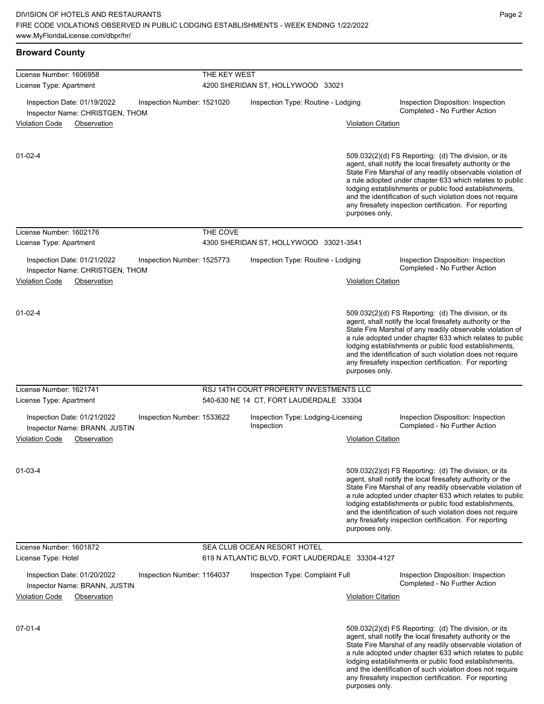| <b>Broward County</b>                                                   |                            |              |                                                  |                           |                                                                                                                                                                                                                                                                                                                                                                                                                            |
|-------------------------------------------------------------------------|----------------------------|--------------|--------------------------------------------------|---------------------------|----------------------------------------------------------------------------------------------------------------------------------------------------------------------------------------------------------------------------------------------------------------------------------------------------------------------------------------------------------------------------------------------------------------------------|
| License Number: 1606958                                                 |                            | THE KEY WEST |                                                  |                           |                                                                                                                                                                                                                                                                                                                                                                                                                            |
| License Type: Apartment                                                 |                            |              | 4200 SHERIDAN ST, HOLLYWOOD 33021                |                           |                                                                                                                                                                                                                                                                                                                                                                                                                            |
| Inspection Date: 01/19/2022<br>Inspector Name: CHRISTGEN, THOM          | Inspection Number: 1521020 |              | Inspection Type: Routine - Lodging               |                           | Inspection Disposition: Inspection<br>Completed - No Further Action                                                                                                                                                                                                                                                                                                                                                        |
| <b>Violation Code</b><br>Observation                                    |                            |              |                                                  | <b>Violation Citation</b> |                                                                                                                                                                                                                                                                                                                                                                                                                            |
| $01 - 02 - 4$                                                           |                            |              |                                                  | purposes only.            | 509.032(2)(d) FS Reporting: (d) The division, or its<br>agent, shall notify the local firesafety authority or the<br>State Fire Marshal of any readily observable violation of<br>a rule adopted under chapter 633 which relates to public<br>lodging establishments or public food establishments,<br>and the identification of such violation does not require<br>any firesafety inspection certification. For reporting |
| License Number: 1602176                                                 |                            | THE COVE     |                                                  |                           |                                                                                                                                                                                                                                                                                                                                                                                                                            |
| License Type: Apartment                                                 |                            |              | 4300 SHERIDAN ST, HOLLYWOOD 33021-3541           |                           |                                                                                                                                                                                                                                                                                                                                                                                                                            |
| Inspection Date: 01/21/2022                                             | Inspection Number: 1525773 |              | Inspection Type: Routine - Lodging               |                           | Inspection Disposition: Inspection<br>Completed - No Further Action                                                                                                                                                                                                                                                                                                                                                        |
| Inspector Name: CHRISTGEN, THOM<br><b>Violation Code</b><br>Observation |                            |              |                                                  | <b>Violation Citation</b> |                                                                                                                                                                                                                                                                                                                                                                                                                            |
| $01 - 02 - 4$                                                           |                            |              |                                                  | purposes only.            | 509.032(2)(d) FS Reporting: (d) The division, or its<br>agent, shall notify the local firesafety authority or the<br>State Fire Marshal of any readily observable violation of<br>a rule adopted under chapter 633 which relates to public<br>lodging establishments or public food establishments,<br>and the identification of such violation does not require<br>any firesafety inspection certification. For reporting |
| License Number: 1621741                                                 |                            |              | RSJ 14TH COURT PROPERTY INVESTMENTS LLC          |                           |                                                                                                                                                                                                                                                                                                                                                                                                                            |
| License Type: Apartment                                                 |                            |              | 540-630 NE 14 CT, FORT LAUDERDALE 33304          |                           |                                                                                                                                                                                                                                                                                                                                                                                                                            |
| Inspection Date: 01/21/2022<br>Inspector Name: BRANN, JUSTIN            | Inspection Number: 1533622 |              | Inspection Type: Lodging-Licensing<br>Inspection |                           | Inspection Disposition: Inspection<br>Completed - No Further Action                                                                                                                                                                                                                                                                                                                                                        |
| <b>Violation Code</b><br>Observation                                    |                            |              |                                                  | <b>Violation Citation</b> |                                                                                                                                                                                                                                                                                                                                                                                                                            |
| $01 - 03 - 4$                                                           |                            |              |                                                  | purposes only.            | 509.032(2)(d) FS Reporting: (d) The division, or its<br>agent, shall notify the local firesafety authority or the<br>State Fire Marshal of any readily observable violation of<br>a rule adopted under chapter 633 which relates to public<br>lodging establishments or public food establishments,<br>and the identification of such violation does not require<br>any firesafety inspection certification. For reporting |
| License Number: 1601872                                                 |                            |              | SEA CLUB OCEAN RESORT HOTEL                      |                           |                                                                                                                                                                                                                                                                                                                                                                                                                            |
| License Type: Hotel                                                     |                            |              | 619 N ATLANTIC BLVD, FORT LAUDERDALE 33304-4127  |                           |                                                                                                                                                                                                                                                                                                                                                                                                                            |
| Inspection Date: 01/20/2022<br>Inspector Name: BRANN, JUSTIN            | Inspection Number: 1164037 |              | Inspection Type: Complaint Full                  |                           | Inspection Disposition: Inspection<br>Completed - No Further Action                                                                                                                                                                                                                                                                                                                                                        |
| <b>Violation Code</b><br>Observation                                    |                            |              |                                                  | <b>Violation Citation</b> |                                                                                                                                                                                                                                                                                                                                                                                                                            |
| $07 - 01 - 4$                                                           |                            |              |                                                  |                           | 509.032(2)(d) FS Reporting: (d) The division, or its<br>agent, shall notify the local firesafety authority or the<br>State Fire Marshal of any readily observable violation of<br>a rule adopted under chapter 633 which relates to public<br>lodging establishments or public food establishments,<br>and the identification of such violation does not require                                                           |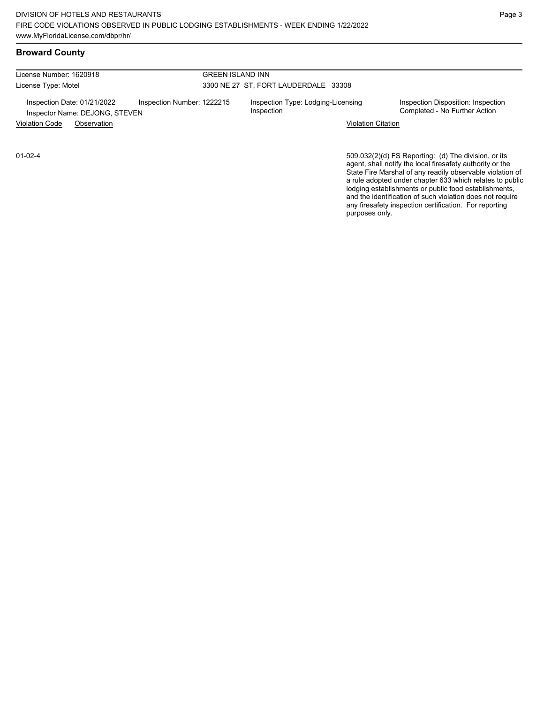License Number: 1620918 License Type: Motel

### GREEN ISLAND INN 3300 NE 27 ST, FORT LAUDERDALE 33308

Inspection Date: 01/21/2022 Inspection Number: 1222215 Inspection Type: Lodging-Licensing Inspector Name: DEJONG, STEVEN Violation Code Observation Violation Citation

Inspection

Inspection Disposition: Inspection<br>Completed - No Further Action

509.032(2)(d) FS Reporting: (d) The division, or its agent, shall notify the local firesafety authority or the State Fire Marshal of any readily observable violation of a rule adopted under chapter 633 which relates to public lodging establishments or public food establishments, and the identification of such violation does not require any firesafety inspection certification. For reporting purposes only.

01-02-4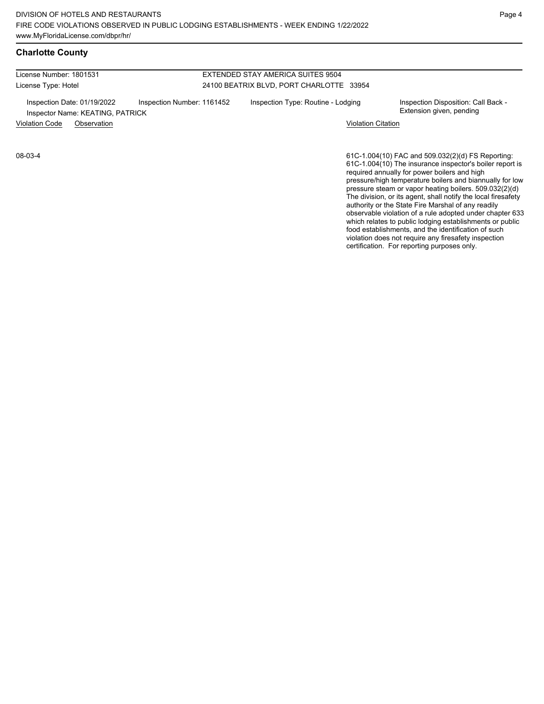## **Charlotte County**

License Number: 1801531 License Type: Hotel

#### EXTENDED STAY AMERICA SUITES 9504 24100 BEATRIX BLVD, PORT CHARLOTTE 33954

Inspection Date: 01/19/2022 Inspection Number: 1161452 Inspection Type: Routine - Lodging Inspection Disposition: Call Back -Inspector Name: KEATING, PATRICK **Inspector Name: KEATING, PATRICK** 

Violation Code Observation Violation Citation

08-03-4

61C-1.004(10) FAC and 509.032(2)(d) FS Reporting: 61C-1.004(10) The insurance inspector's boiler report is required annually for power boilers and high pressure/high temperature boilers and biannually for low pressure steam or vapor heating boilers. 509.032(2)(d) The division, or its agent, shall notify the local firesafety authority or the State Fire Marshal of any readily observable violation of a rule adopted under chapter 633 which relates to public lodging establishments or public food establishments, and the identification of such violation does not require any firesafety inspection certification. For reporting purposes only.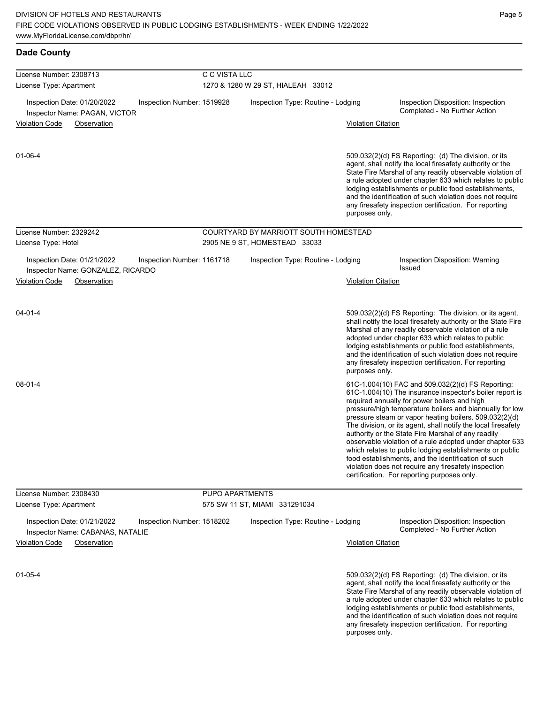| <b>Dade County</b>                                               |                            |                                       |                           |                                                                                                                                                                                                                                                                                                                                                                                                                                                                                                                                                                                                                                                                                                  |
|------------------------------------------------------------------|----------------------------|---------------------------------------|---------------------------|--------------------------------------------------------------------------------------------------------------------------------------------------------------------------------------------------------------------------------------------------------------------------------------------------------------------------------------------------------------------------------------------------------------------------------------------------------------------------------------------------------------------------------------------------------------------------------------------------------------------------------------------------------------------------------------------------|
| License Number: 2308713                                          | C C VISTA LLC              |                                       |                           |                                                                                                                                                                                                                                                                                                                                                                                                                                                                                                                                                                                                                                                                                                  |
| License Type: Apartment                                          |                            | 1270 & 1280 W 29 ST, HIALEAH 33012    |                           |                                                                                                                                                                                                                                                                                                                                                                                                                                                                                                                                                                                                                                                                                                  |
| Inspection Date: 01/20/2022<br>Inspector Name: PAGAN, VICTOR     | Inspection Number: 1519928 | Inspection Type: Routine - Lodging    |                           | Inspection Disposition: Inspection<br>Completed - No Further Action                                                                                                                                                                                                                                                                                                                                                                                                                                                                                                                                                                                                                              |
| <b>Violation Code</b><br>Observation                             |                            |                                       | <b>Violation Citation</b> |                                                                                                                                                                                                                                                                                                                                                                                                                                                                                                                                                                                                                                                                                                  |
| $01 - 06 - 4$                                                    |                            |                                       | purposes only.            | $509.032(2)(d)$ FS Reporting: (d) The division, or its<br>agent, shall notify the local firesafety authority or the<br>State Fire Marshal of any readily observable violation of<br>a rule adopted under chapter 633 which relates to public<br>lodging establishments or public food establishments,<br>and the identification of such violation does not require<br>any firesafety inspection certification. For reporting                                                                                                                                                                                                                                                                     |
| License Number: 2329242                                          |                            | COURTYARD BY MARRIOTT SOUTH HOMESTEAD |                           |                                                                                                                                                                                                                                                                                                                                                                                                                                                                                                                                                                                                                                                                                                  |
| License Type: Hotel                                              |                            | 2905 NE 9 ST, HOMESTEAD 33033         |                           |                                                                                                                                                                                                                                                                                                                                                                                                                                                                                                                                                                                                                                                                                                  |
| Inspection Date: 01/21/2022<br>Inspector Name: GONZALEZ, RICARDO | Inspection Number: 1161718 | Inspection Type: Routine - Lodging    |                           | Inspection Disposition: Warning<br><b>Issued</b>                                                                                                                                                                                                                                                                                                                                                                                                                                                                                                                                                                                                                                                 |
| <b>Violation Code</b><br>Observation                             |                            |                                       | <b>Violation Citation</b> |                                                                                                                                                                                                                                                                                                                                                                                                                                                                                                                                                                                                                                                                                                  |
| $04 - 01 - 4$                                                    |                            |                                       | purposes only.            | 509.032(2)(d) FS Reporting: The division, or its agent,<br>shall notify the local firesafety authority or the State Fire<br>Marshal of any readily observable violation of a rule<br>adopted under chapter 633 which relates to public<br>lodging establishments or public food establishments,<br>and the identification of such violation does not require<br>any firesafety inspection certification. For reporting                                                                                                                                                                                                                                                                           |
| 08-01-4                                                          |                            |                                       |                           | 61C-1.004(10) FAC and 509.032(2)(d) FS Reporting:<br>61C-1.004(10) The insurance inspector's boiler report is<br>required annually for power boilers and high<br>pressure/high temperature boilers and biannually for low<br>pressure steam or vapor heating boilers. 509.032(2)(d)<br>The division, or its agent, shall notify the local firesafety<br>authority or the State Fire Marshal of any readily<br>observable violation of a rule adopted under chapter 633<br>which relates to public lodging establishments or public<br>food establishments, and the identification of such<br>violation does not require any firesafety inspection<br>certification. For reporting purposes only. |
| License Number: 2308430                                          | PUPO APARTMENTS            |                                       |                           |                                                                                                                                                                                                                                                                                                                                                                                                                                                                                                                                                                                                                                                                                                  |
| License Type: Apartment                                          |                            | 575 SW 11 ST, MIAMI 331291034         |                           |                                                                                                                                                                                                                                                                                                                                                                                                                                                                                                                                                                                                                                                                                                  |
| Inspection Date: 01/21/2022<br>Inspector Name: CABANAS, NATALIE  | Inspection Number: 1518202 | Inspection Type: Routine - Lodging    |                           | Inspection Disposition: Inspection<br>Completed - No Further Action                                                                                                                                                                                                                                                                                                                                                                                                                                                                                                                                                                                                                              |
| <b>Violation Code</b><br>Observation                             |                            |                                       | <b>Violation Citation</b> |                                                                                                                                                                                                                                                                                                                                                                                                                                                                                                                                                                                                                                                                                                  |
| $01 - 05 - 4$                                                    |                            |                                       | purposes only.            | 509.032(2)(d) FS Reporting: (d) The division, or its<br>agent, shall notify the local firesafety authority or the<br>State Fire Marshal of any readily observable violation of<br>a rule adopted under chapter 633 which relates to public<br>lodging establishments or public food establishments,<br>and the identification of such violation does not require<br>any firesafety inspection certification. For reporting                                                                                                                                                                                                                                                                       |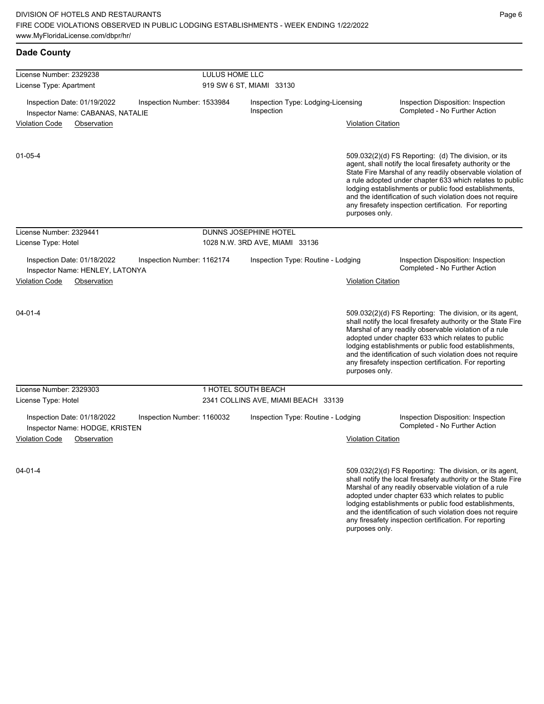| <b>Dade County</b>                                              |                            |                                                  |                           |                                                                                                                                                                                                                                                                                                                                                                                                                            |
|-----------------------------------------------------------------|----------------------------|--------------------------------------------------|---------------------------|----------------------------------------------------------------------------------------------------------------------------------------------------------------------------------------------------------------------------------------------------------------------------------------------------------------------------------------------------------------------------------------------------------------------------|
| License Number: 2329238                                         | LULUS HOME LLC             |                                                  |                           |                                                                                                                                                                                                                                                                                                                                                                                                                            |
| License Type: Apartment                                         |                            | 919 SW 6 ST, MIAMI 33130                         |                           |                                                                                                                                                                                                                                                                                                                                                                                                                            |
| Inspection Date: 01/19/2022<br>Inspector Name: CABANAS, NATALIE | Inspection Number: 1533984 | Inspection Type: Lodging-Licensing<br>Inspection |                           | Inspection Disposition: Inspection<br>Completed - No Further Action                                                                                                                                                                                                                                                                                                                                                        |
| <b>Violation Code</b><br>Observation                            |                            |                                                  | <b>Violation Citation</b> |                                                                                                                                                                                                                                                                                                                                                                                                                            |
| 01-05-4                                                         |                            |                                                  | purposes only.            | 509.032(2)(d) FS Reporting: (d) The division, or its<br>agent, shall notify the local firesafety authority or the<br>State Fire Marshal of any readily observable violation of<br>a rule adopted under chapter 633 which relates to public<br>lodging establishments or public food establishments,<br>and the identification of such violation does not require<br>any firesafety inspection certification. For reporting |
| License Number: 2329441                                         |                            | DUNNS JOSEPHINE HOTEL                            |                           |                                                                                                                                                                                                                                                                                                                                                                                                                            |
| License Type: Hotel                                             |                            | 1028 N.W. 3RD AVE, MIAMI 33136                   |                           |                                                                                                                                                                                                                                                                                                                                                                                                                            |
| Inspection Date: 01/18/2022<br>Inspector Name: HENLEY, LATONYA  | Inspection Number: 1162174 | Inspection Type: Routine - Lodging               |                           | Inspection Disposition: Inspection<br>Completed - No Further Action                                                                                                                                                                                                                                                                                                                                                        |
| <b>Violation Code</b><br>Observation                            |                            |                                                  | <b>Violation Citation</b> |                                                                                                                                                                                                                                                                                                                                                                                                                            |
| $04 - 01 - 4$                                                   |                            |                                                  | purposes only.            | 509.032(2)(d) FS Reporting: The division, or its agent,<br>shall notify the local firesafety authority or the State Fire<br>Marshal of any readily observable violation of a rule<br>adopted under chapter 633 which relates to public<br>lodging establishments or public food establishments,<br>and the identification of such violation does not require<br>any firesafety inspection certification. For reporting     |
| License Number: 2329303                                         |                            | 1 HOTEL SOUTH BEACH                              |                           |                                                                                                                                                                                                                                                                                                                                                                                                                            |
| License Type: Hotel                                             |                            | 2341 COLLINS AVE, MIAMI BEACH 33139              |                           |                                                                                                                                                                                                                                                                                                                                                                                                                            |
| Inspection Date: 01/18/2022<br>Inspector Name: HODGE, KRISTEN   | Inspection Number: 1160032 | Inspection Type: Routine - Lodging               |                           | Inspection Disposition: Inspection<br>Completed - No Further Action                                                                                                                                                                                                                                                                                                                                                        |
| <b>Violation Code</b><br>Observation                            |                            |                                                  | <b>Violation Citation</b> |                                                                                                                                                                                                                                                                                                                                                                                                                            |
| $04 - 01 - 4$                                                   |                            |                                                  |                           | 509.032(2)(d) FS Reporting: The division, or its agent,<br>shall notify the local firesafety authority or the State Fire<br>Marshal of any readily observable violation of a rule<br>adopted under chapter 633 which relates to public<br>lodging establishments or public food establishments,<br>and the identification of such violation does not require                                                               |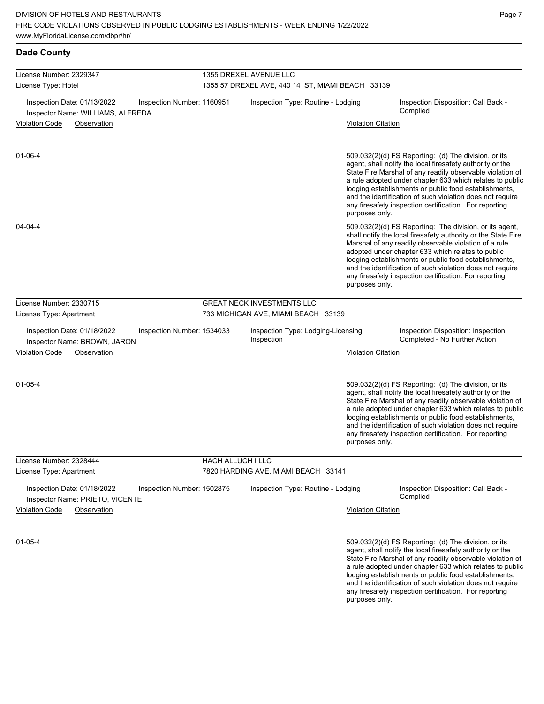# **Dade County**

| License Number: 2329347                                                                        |                          | 1355 DREXEL AVENUE LLC                           |                           |                                                                                                                                                                                                                                                                                                                                                                                                                              |  |  |
|------------------------------------------------------------------------------------------------|--------------------------|--------------------------------------------------|---------------------------|------------------------------------------------------------------------------------------------------------------------------------------------------------------------------------------------------------------------------------------------------------------------------------------------------------------------------------------------------------------------------------------------------------------------------|--|--|
| License Type: Hotel                                                                            |                          | 1355 57 DREXEL AVE, 440 14 ST, MIAMI BEACH 33139 |                           |                                                                                                                                                                                                                                                                                                                                                                                                                              |  |  |
| Inspection Date: 01/13/2022<br>Inspection Number: 1160951<br>Inspector Name: WILLIAMS, ALFREDA |                          | Inspection Type: Routine - Lodging               |                           | Inspection Disposition: Call Back -<br>Complied                                                                                                                                                                                                                                                                                                                                                                              |  |  |
| <b>Violation Code</b><br>Observation                                                           |                          |                                                  | <b>Violation Citation</b> |                                                                                                                                                                                                                                                                                                                                                                                                                              |  |  |
| $01 - 06 - 4$                                                                                  |                          |                                                  | purposes only.            | $509.032(2)(d)$ FS Reporting: (d) The division, or its<br>agent, shall notify the local firesafety authority or the<br>State Fire Marshal of any readily observable violation of<br>a rule adopted under chapter 633 which relates to public<br>lodging establishments or public food establishments,<br>and the identification of such violation does not require<br>any firesafety inspection certification. For reporting |  |  |
| 04-04-4                                                                                        |                          |                                                  | purposes only.            | 509.032(2)(d) FS Reporting: The division, or its agent,<br>shall notify the local firesafety authority or the State Fire<br>Marshal of any readily observable violation of a rule<br>adopted under chapter 633 which relates to public<br>lodging establishments or public food establishments,<br>and the identification of such violation does not require<br>any firesafety inspection certification. For reporting       |  |  |
| License Number: 2330715                                                                        |                          | <b>GREAT NECK INVESTMENTS LLC</b>                |                           |                                                                                                                                                                                                                                                                                                                                                                                                                              |  |  |
| License Type: Apartment                                                                        |                          | 733 MICHIGAN AVE, MIAMI BEACH 33139              |                           |                                                                                                                                                                                                                                                                                                                                                                                                                              |  |  |
| Inspection Date: 01/18/2022<br>Inspection Number: 1534033<br>Inspector Name: BROWN, JARON      |                          | Inspection Type: Lodging-Licensing<br>Inspection |                           | Inspection Disposition: Inspection<br>Completed - No Further Action                                                                                                                                                                                                                                                                                                                                                          |  |  |
| <b>Violation Code</b><br>Observation                                                           |                          |                                                  | <b>Violation Citation</b> |                                                                                                                                                                                                                                                                                                                                                                                                                              |  |  |
| $01 - 05 - 4$                                                                                  |                          |                                                  | purposes only.            | 509.032(2)(d) FS Reporting: (d) The division, or its<br>agent, shall notify the local firesafety authority or the<br>State Fire Marshal of any readily observable violation of<br>a rule adopted under chapter 633 which relates to public<br>lodging establishments or public food establishments,<br>and the identification of such violation does not require<br>any firesafety inspection certification. For reporting   |  |  |
| License Number: 2328444                                                                        | <b>HACH ALLUCH I LLC</b> |                                                  |                           |                                                                                                                                                                                                                                                                                                                                                                                                                              |  |  |
| License Type: Apartment                                                                        |                          | 7820 HARDING AVE, MIAMI BEACH 33141              |                           |                                                                                                                                                                                                                                                                                                                                                                                                                              |  |  |
| Inspection Date: 01/18/2022<br>Inspection Number: 1502875<br>Inspector Name: PRIETO, VICENTE   |                          | Inspection Type: Routine - Lodging               |                           | Inspection Disposition: Call Back -<br>Complied                                                                                                                                                                                                                                                                                                                                                                              |  |  |
| <b>Violation Code</b><br>Observation                                                           |                          |                                                  | <b>Violation Citation</b> |                                                                                                                                                                                                                                                                                                                                                                                                                              |  |  |
| $01 - 05 - 4$                                                                                  |                          |                                                  |                           | 509.032(2)(d) FS Reporting: (d) The division, or its<br>agent, shall notify the local firesafety authority or the<br>State Fire Marshal of any readily observable violation of<br>a rule adopted under chapter 633 which relates to public                                                                                                                                                                                   |  |  |

lodging establishments or public food establishments, and the identification of such violation does not require any firesafety inspection certification. For reporting purposes only.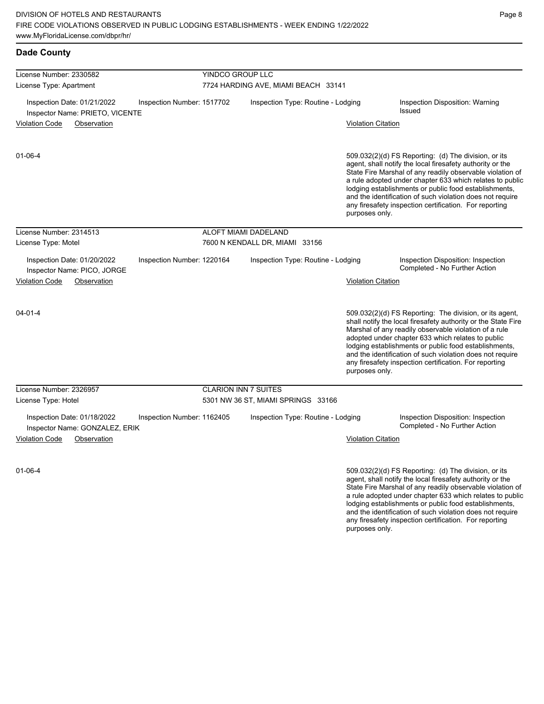| <b>Dade County</b>                                             |                            |                                     |                           |                                                                                                                                                                                                                                                                                                                                                                                                                            |  |  |  |
|----------------------------------------------------------------|----------------------------|-------------------------------------|---------------------------|----------------------------------------------------------------------------------------------------------------------------------------------------------------------------------------------------------------------------------------------------------------------------------------------------------------------------------------------------------------------------------------------------------------------------|--|--|--|
| License Number: 2330582                                        |                            | YINDCO GROUP LLC                    |                           |                                                                                                                                                                                                                                                                                                                                                                                                                            |  |  |  |
| License Type: Apartment                                        |                            | 7724 HARDING AVE, MIAMI BEACH 33141 |                           |                                                                                                                                                                                                                                                                                                                                                                                                                            |  |  |  |
| Inspection Date: 01/21/2022<br>Inspector Name: PRIETO, VICENTE | Inspection Number: 1517702 | Inspection Type: Routine - Lodging  |                           | Inspection Disposition: Warning<br><b>Issued</b>                                                                                                                                                                                                                                                                                                                                                                           |  |  |  |
| <b>Violation Code</b><br>Observation                           |                            |                                     | <b>Violation Citation</b> |                                                                                                                                                                                                                                                                                                                                                                                                                            |  |  |  |
| 01-06-4                                                        |                            |                                     | purposes only.            | 509.032(2)(d) FS Reporting: (d) The division, or its<br>agent, shall notify the local firesafety authority or the<br>State Fire Marshal of any readily observable violation of<br>a rule adopted under chapter 633 which relates to public<br>lodging establishments or public food establishments,<br>and the identification of such violation does not require<br>any firesafety inspection certification. For reporting |  |  |  |
| License Number: 2314513                                        |                            | ALOFT MIAMI DADELAND                |                           |                                                                                                                                                                                                                                                                                                                                                                                                                            |  |  |  |
| License Type: Motel                                            |                            | 7600 N KENDALL DR, MIAMI 33156      |                           |                                                                                                                                                                                                                                                                                                                                                                                                                            |  |  |  |
| Inspection Date: 01/20/2022<br>Inspector Name: PICO, JORGE     | Inspection Number: 1220164 | Inspection Type: Routine - Lodging  |                           | Inspection Disposition: Inspection<br>Completed - No Further Action                                                                                                                                                                                                                                                                                                                                                        |  |  |  |
| Violation Code<br>Observation                                  |                            |                                     | <b>Violation Citation</b> |                                                                                                                                                                                                                                                                                                                                                                                                                            |  |  |  |
| $04 - 01 - 4$                                                  |                            |                                     | purposes only.            | 509.032(2)(d) FS Reporting: The division, or its agent,<br>shall notify the local firesafety authority or the State Fire<br>Marshal of any readily observable violation of a rule<br>adopted under chapter 633 which relates to public<br>lodging establishments or public food establishments,<br>and the identification of such violation does not require<br>any firesafety inspection certification. For reporting     |  |  |  |
| License Number: 2326957                                        |                            | <b>CLARION INN 7 SUITES</b>         |                           |                                                                                                                                                                                                                                                                                                                                                                                                                            |  |  |  |
| License Type: Hotel                                            |                            | 5301 NW 36 ST, MIAMI SPRINGS 33166  |                           |                                                                                                                                                                                                                                                                                                                                                                                                                            |  |  |  |
| Inspection Date: 01/18/2022<br>Inspector Name: GONZALEZ, ERIK  | Inspection Number: 1162405 | Inspection Type: Routine - Lodging  |                           | Inspection Disposition: Inspection<br>Completed - No Further Action                                                                                                                                                                                                                                                                                                                                                        |  |  |  |
| <b>Violation Code</b><br>Observation                           |                            |                                     | <b>Violation Citation</b> |                                                                                                                                                                                                                                                                                                                                                                                                                            |  |  |  |
| $01 - 06 - 4$                                                  |                            |                                     |                           | 509.032(2)(d) FS Reporting: (d) The division, or its<br>agent, shall notify the local firesafety authority or the<br>State Fire Marshal of any readily observable violation of<br>a rule adopted under chapter 633 which relates to public<br>lodging establishments or public food establishments,<br>and the identification of such violation does not require                                                           |  |  |  |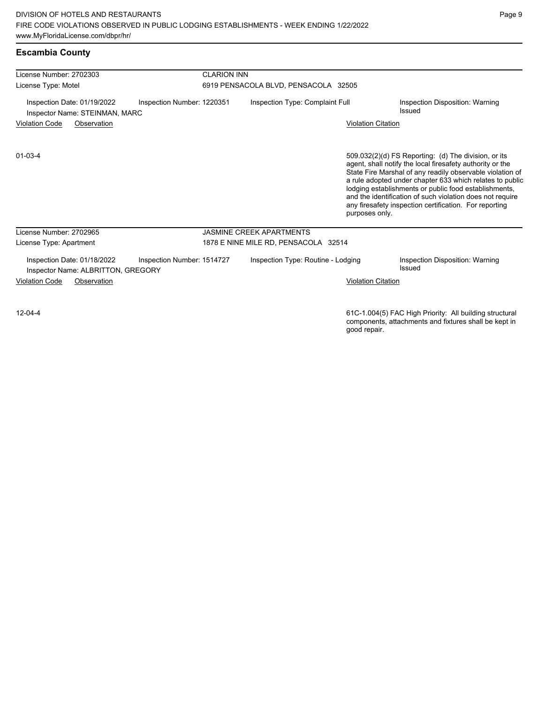## **Escambia County**

| License Number: 2702303                                           |                            | <b>CLARION INN</b> |                                      |                           |                                                                                                                                                                                                                                                                                                                                                                                                                            |  |  |
|-------------------------------------------------------------------|----------------------------|--------------------|--------------------------------------|---------------------------|----------------------------------------------------------------------------------------------------------------------------------------------------------------------------------------------------------------------------------------------------------------------------------------------------------------------------------------------------------------------------------------------------------------------------|--|--|
| License Type: Motel                                               |                            |                    | 6919 PENSACOLA BLVD, PENSACOLA 32505 |                           |                                                                                                                                                                                                                                                                                                                                                                                                                            |  |  |
| Inspection Date: 01/19/2022<br>Inspector Name: STEINMAN, MARC     | Inspection Number: 1220351 |                    | Inspection Type: Complaint Full      |                           | Inspection Disposition: Warning<br>Issued                                                                                                                                                                                                                                                                                                                                                                                  |  |  |
| <b>Violation Code</b><br>Observation                              |                            |                    |                                      | <b>Violation Citation</b> |                                                                                                                                                                                                                                                                                                                                                                                                                            |  |  |
| $01 - 03 - 4$                                                     |                            |                    |                                      | purposes only.            | 509.032(2)(d) FS Reporting: (d) The division, or its<br>agent, shall notify the local firesafety authority or the<br>State Fire Marshal of any readily observable violation of<br>a rule adopted under chapter 633 which relates to public<br>lodging establishments or public food establishments,<br>and the identification of such violation does not require<br>any firesafety inspection certification. For reporting |  |  |
| License Number: 2702965                                           |                            |                    | <b>JASMINE CREEK APARTMENTS</b>      |                           |                                                                                                                                                                                                                                                                                                                                                                                                                            |  |  |
| License Type: Apartment                                           |                            |                    | 1878 E NINE MILE RD, PENSACOLA 32514 |                           |                                                                                                                                                                                                                                                                                                                                                                                                                            |  |  |
| Inspection Date: 01/18/2022<br>Inspector Name: ALBRITTON, GREGORY | Inspection Number: 1514727 |                    | Inspection Type: Routine - Lodging   |                           | <b>Inspection Disposition: Warning</b><br>Issued                                                                                                                                                                                                                                                                                                                                                                           |  |  |
| <b>Violation Code</b><br>Observation                              |                            |                    |                                      | <b>Violation Citation</b> |                                                                                                                                                                                                                                                                                                                                                                                                                            |  |  |
|                                                                   |                            |                    |                                      |                           |                                                                                                                                                                                                                                                                                                                                                                                                                            |  |  |
|                                                                   |                            |                    |                                      |                           |                                                                                                                                                                                                                                                                                                                                                                                                                            |  |  |

12-04-4

61C-1.004(5) FAC High Priority: All building structural components, attachments and fixtures shall be kept in good repair.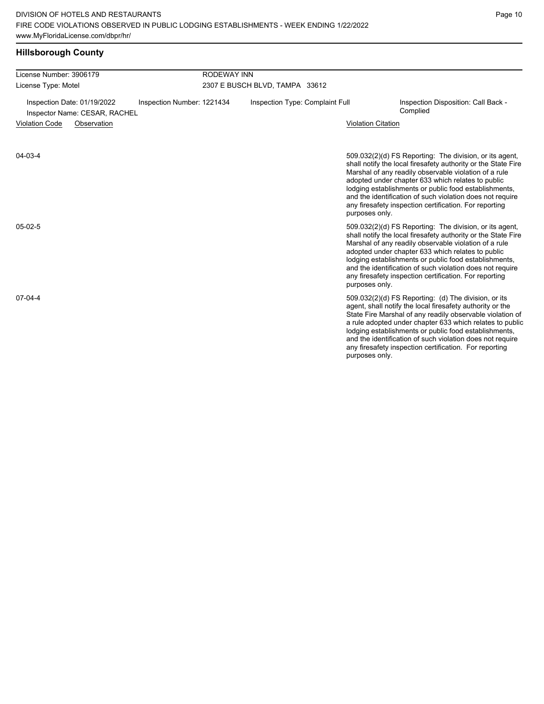# **Hillsborough County**

| License Number: 3906179                                                                    | <b>RODEWAY INN</b> |                                 |                           |                                                                                                                                                                                                                                                                                                                                                                                                                            |  |  |
|--------------------------------------------------------------------------------------------|--------------------|---------------------------------|---------------------------|----------------------------------------------------------------------------------------------------------------------------------------------------------------------------------------------------------------------------------------------------------------------------------------------------------------------------------------------------------------------------------------------------------------------------|--|--|
| License Type: Motel                                                                        |                    | 2307 E BUSCH BLVD, TAMPA 33612  |                           |                                                                                                                                                                                                                                                                                                                                                                                                                            |  |  |
| Inspection Date: 01/19/2022<br>Inspection Number: 1221434<br>Inspector Name: CESAR, RACHEL |                    | Inspection Type: Complaint Full |                           | Inspection Disposition: Call Back -<br>Complied                                                                                                                                                                                                                                                                                                                                                                            |  |  |
| <b>Violation Code</b><br>Observation                                                       |                    |                                 | <b>Violation Citation</b> |                                                                                                                                                                                                                                                                                                                                                                                                                            |  |  |
| 04-03-4                                                                                    |                    |                                 | purposes only.            | 509.032(2)(d) FS Reporting: The division, or its agent,<br>shall notify the local firesafety authority or the State Fire<br>Marshal of any readily observable violation of a rule<br>adopted under chapter 633 which relates to public<br>lodging establishments or public food establishments,<br>and the identification of such violation does not require<br>any firesafety inspection certification. For reporting     |  |  |
| $05-02-5$                                                                                  |                    |                                 | purposes only.            | 509.032(2)(d) FS Reporting: The division, or its agent,<br>shall notify the local firesafety authority or the State Fire<br>Marshal of any readily observable violation of a rule<br>adopted under chapter 633 which relates to public<br>lodging establishments or public food establishments,<br>and the identification of such violation does not require<br>any firesafety inspection certification. For reporting     |  |  |
| $07-04-4$                                                                                  |                    |                                 | purposes only.            | 509.032(2)(d) FS Reporting: (d) The division, or its<br>agent, shall notify the local firesafety authority or the<br>State Fire Marshal of any readily observable violation of<br>a rule adopted under chapter 633 which relates to public<br>lodging establishments or public food establishments,<br>and the identification of such violation does not require<br>any firesafety inspection certification. For reporting |  |  |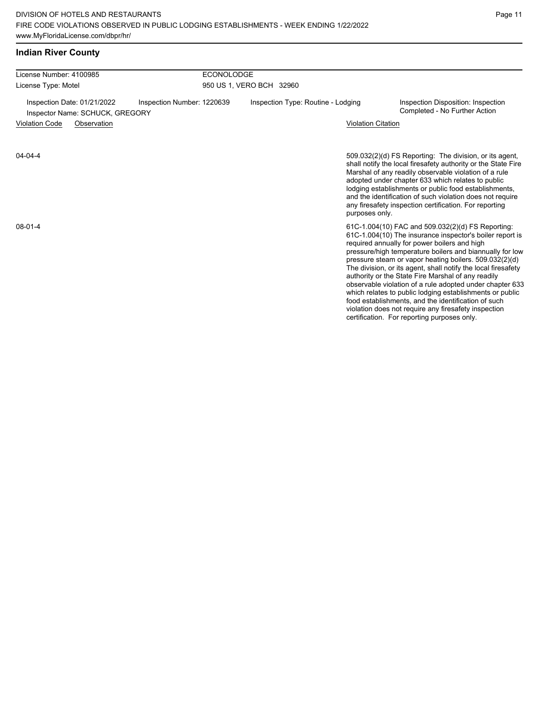# **Indian River County**

| License Number: 4100985                                                                      | <b>ECONOLODGE</b>                  |                           |                                                                                                                                                                                                                                                                                                                                                                                                                                                                                                                                                                                                                                                                                                  |  |  |
|----------------------------------------------------------------------------------------------|------------------------------------|---------------------------|--------------------------------------------------------------------------------------------------------------------------------------------------------------------------------------------------------------------------------------------------------------------------------------------------------------------------------------------------------------------------------------------------------------------------------------------------------------------------------------------------------------------------------------------------------------------------------------------------------------------------------------------------------------------------------------------------|--|--|
| License Type: Motel                                                                          | 950 US 1, VERO BCH 32960           |                           |                                                                                                                                                                                                                                                                                                                                                                                                                                                                                                                                                                                                                                                                                                  |  |  |
| Inspection Date: 01/21/2022<br>Inspection Number: 1220639<br>Inspector Name: SCHUCK, GREGORY | Inspection Type: Routine - Lodging |                           | Inspection Disposition: Inspection<br>Completed - No Further Action                                                                                                                                                                                                                                                                                                                                                                                                                                                                                                                                                                                                                              |  |  |
| <b>Violation Code</b><br>Observation                                                         |                                    | <b>Violation Citation</b> |                                                                                                                                                                                                                                                                                                                                                                                                                                                                                                                                                                                                                                                                                                  |  |  |
| $04 - 04 - 4$                                                                                |                                    | purposes only.            | 509.032(2)(d) FS Reporting: The division, or its agent,<br>shall notify the local firesafety authority or the State Fire<br>Marshal of any readily observable violation of a rule<br>adopted under chapter 633 which relates to public<br>lodging establishments or public food establishments,<br>and the identification of such violation does not require<br>any firesafety inspection certification. For reporting                                                                                                                                                                                                                                                                           |  |  |
| $08 - 01 - 4$                                                                                |                                    |                           | 61C-1.004(10) FAC and 509.032(2)(d) FS Reporting:<br>61C-1.004(10) The insurance inspector's boiler report is<br>required annually for power boilers and high<br>pressure/high temperature boilers and biannually for low<br>pressure steam or vapor heating boilers. 509.032(2)(d)<br>The division, or its agent, shall notify the local firesafety<br>authority or the State Fire Marshal of any readily<br>observable violation of a rule adopted under chapter 633<br>which relates to public lodging establishments or public<br>food establishments, and the identification of such<br>violation does not require any firesafety inspection<br>certification. For reporting purposes only. |  |  |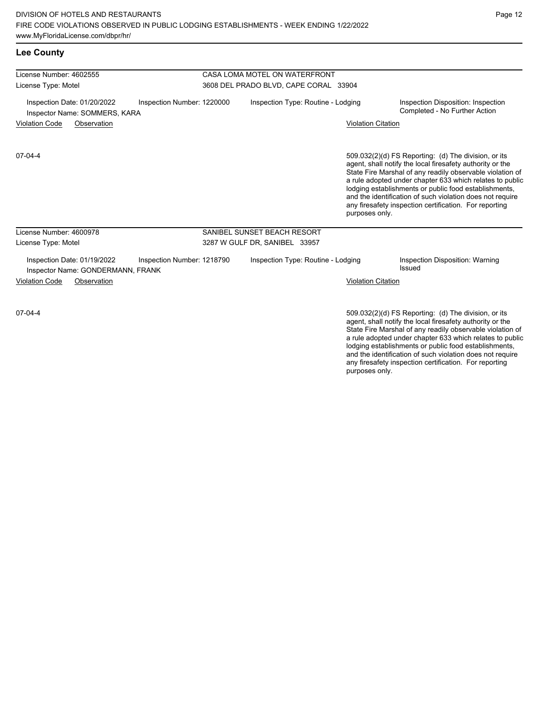| <b>Lee County</b>                                                                              |                                       |                           |                                                                                                                                                                                                                                                                                                                                                                                                                            |  |  |  |
|------------------------------------------------------------------------------------------------|---------------------------------------|---------------------------|----------------------------------------------------------------------------------------------------------------------------------------------------------------------------------------------------------------------------------------------------------------------------------------------------------------------------------------------------------------------------------------------------------------------------|--|--|--|
| License Number: 4602555                                                                        | CASA LOMA MOTEL ON WATERFRONT         |                           |                                                                                                                                                                                                                                                                                                                                                                                                                            |  |  |  |
| License Type: Motel                                                                            | 3608 DEL PRADO BLVD, CAPE CORAL 33904 |                           |                                                                                                                                                                                                                                                                                                                                                                                                                            |  |  |  |
| Inspection Date: 01/20/2022<br>Inspection Number: 1220000<br>Inspector Name: SOMMERS, KARA     | Inspection Type: Routine - Lodging    |                           | Inspection Disposition: Inspection<br>Completed - No Further Action                                                                                                                                                                                                                                                                                                                                                        |  |  |  |
| <b>Violation Code</b><br>Observation                                                           |                                       | <b>Violation Citation</b> |                                                                                                                                                                                                                                                                                                                                                                                                                            |  |  |  |
| $07-04-4$                                                                                      |                                       | purposes only.            | 509.032(2)(d) FS Reporting: (d) The division, or its<br>agent, shall notify the local firesafety authority or the<br>State Fire Marshal of any readily observable violation of<br>a rule adopted under chapter 633 which relates to public<br>lodging establishments or public food establishments,<br>and the identification of such violation does not require<br>any firesafety inspection certification. For reporting |  |  |  |
| License Number: 4600978                                                                        | SANIBEL SUNSET BEACH RESORT           |                           |                                                                                                                                                                                                                                                                                                                                                                                                                            |  |  |  |
| License Type: Motel                                                                            | 3287 W GULF DR, SANIBEL 33957         |                           |                                                                                                                                                                                                                                                                                                                                                                                                                            |  |  |  |
| Inspection Date: 01/19/2022<br>Inspection Number: 1218790<br>Inspector Name: GONDERMANN, FRANK | Inspection Type: Routine - Lodging    |                           | Inspection Disposition: Warning<br>Issued                                                                                                                                                                                                                                                                                                                                                                                  |  |  |  |
| <b>Violation Code</b><br>Observation                                                           |                                       | <b>Violation Citation</b> |                                                                                                                                                                                                                                                                                                                                                                                                                            |  |  |  |
| $07-04-4$                                                                                      |                                       |                           | 509.032(2)(d) FS Reporting: (d) The division, or its<br>agent, shall notify the local firesafety authority or the                                                                                                                                                                                                                                                                                                          |  |  |  |

agent, shall notify the local firesafety authority or the State Fire Marshal of any readily observable violation of a rule adopted under chapter 633 which relates to public lodging establishments or public food establishments, and the identification of such violation does not require any firesafety inspection certification. For reporting purposes only.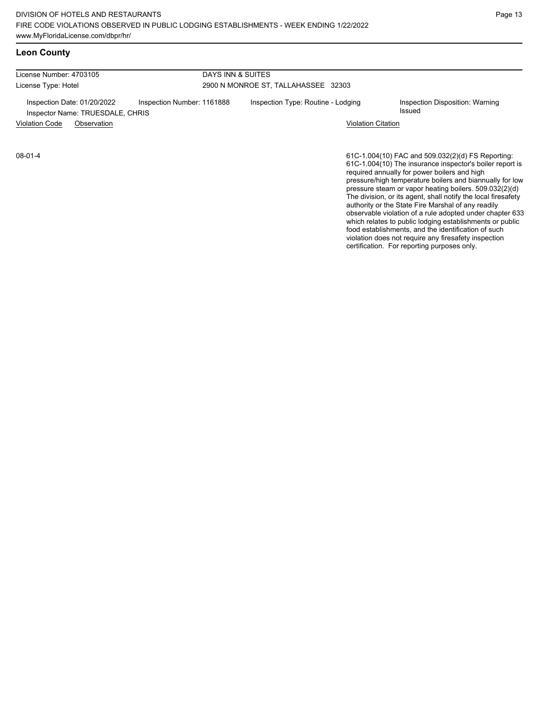## **Leon County**

| License Number: 4703105                                         |                            | DAYS INN & SUITES                   |                                           |  |  |
|-----------------------------------------------------------------|----------------------------|-------------------------------------|-------------------------------------------|--|--|
| License Type: Hotel                                             |                            | 2900 N MONROE ST, TALLAHASSEE 32303 |                                           |  |  |
| Inspection Date: 01/20/2022<br>Inspector Name: TRUESDALE, CHRIS | Inspection Number: 1161888 | Inspection Type: Routine - Lodging  | Inspection Disposition: Warning<br>Issued |  |  |
| <b>Violation Code</b><br>Observation                            |                            | <b>Violation Citation</b>           |                                           |  |  |

08-01-4

61C-1.004(10) FAC and 509.032(2)(d) FS Reporting: 61C-1.004(10) The insurance inspector's boiler report is required annually for power boilers and high pressure/high temperature boilers and biannually for low pressure steam or vapor heating boilers. 509.032(2)(d) The division, or its agent, shall notify the local firesafety authority or the State Fire Marshal of any readily observable violation of a rule adopted under chapter 633 which relates to public lodging establishments or public food establishments, and the identification of such violation does not require any firesafety inspection certification. For reporting purposes only.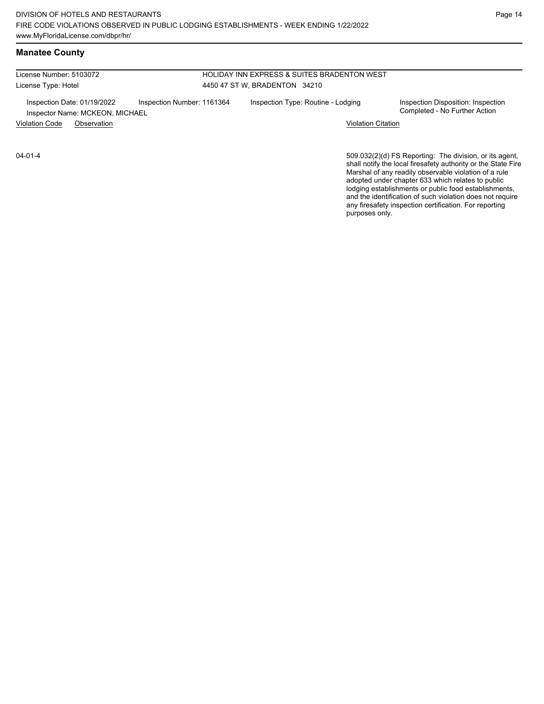License Number: 5103072 License Type: Hotel

# HOLIDAY INN EXPRESS & SUITES BRADENTON WEST 4450 47 ST W, BRADENTON 34210

Inspection Date: 01/19/2022 Inspection Number: 1161364 Inspection Type: Routine - Lodging Inspection Disposition: Inspection<br>Inspector Name: MCKFON MICHAFI Inspector Name: MCKEON, MICHAEL

Violation Code Observation Violation Citation

04-01-4

509.032(2)(d) FS Reporting: The division, or its agent, shall notify the local firesafety authority or the State Fire Marshal of any readily observable violation of a rule adopted under chapter 633 which relates to public lodging establishments or public food establishments, and the identification of such violation does not require any firesafety inspection certification. For reporting purposes only.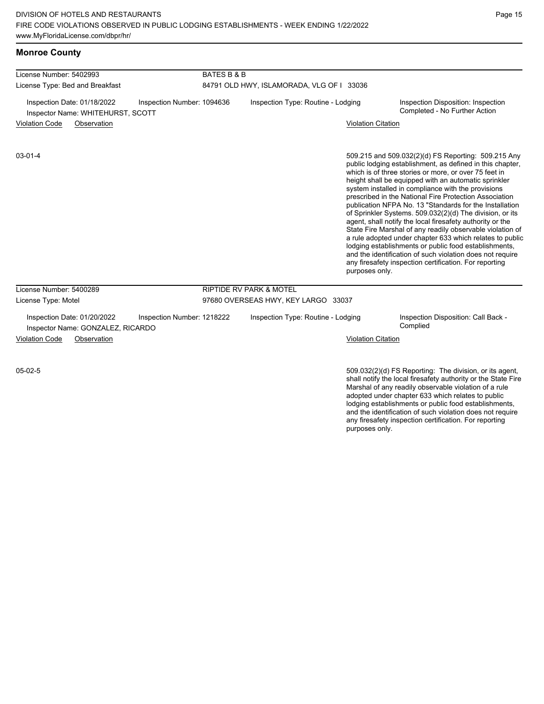## **Monroe County**

| License Number: 5402993                                          | <b>BATES B &amp; B</b>     |                                           |                           |                                                                                                                                                                                                                                                                                                                                                                                                                                                                                                                                                                                                                                                                                                                                                                                                                                                |  |  |  |
|------------------------------------------------------------------|----------------------------|-------------------------------------------|---------------------------|------------------------------------------------------------------------------------------------------------------------------------------------------------------------------------------------------------------------------------------------------------------------------------------------------------------------------------------------------------------------------------------------------------------------------------------------------------------------------------------------------------------------------------------------------------------------------------------------------------------------------------------------------------------------------------------------------------------------------------------------------------------------------------------------------------------------------------------------|--|--|--|
| License Type: Bed and Breakfast                                  |                            | 84791 OLD HWY, ISLAMORADA, VLG OF I 33036 |                           |                                                                                                                                                                                                                                                                                                                                                                                                                                                                                                                                                                                                                                                                                                                                                                                                                                                |  |  |  |
| Inspection Date: 01/18/2022<br>Inspector Name: WHITEHURST, SCOTT | Inspection Number: 1094636 | Inspection Type: Routine - Lodging        |                           | Inspection Disposition: Inspection<br>Completed - No Further Action                                                                                                                                                                                                                                                                                                                                                                                                                                                                                                                                                                                                                                                                                                                                                                            |  |  |  |
| <b>Violation Code</b><br>Observation                             |                            |                                           | <b>Violation Citation</b> |                                                                                                                                                                                                                                                                                                                                                                                                                                                                                                                                                                                                                                                                                                                                                                                                                                                |  |  |  |
| $03 - 01 - 4$                                                    |                            |                                           | purposes only.            | 509.215 and 509.032(2)(d) FS Reporting: 509.215 Any<br>public lodging establishment, as defined in this chapter,<br>which is of three stories or more, or over 75 feet in<br>height shall be equipped with an automatic sprinkler<br>system installed in compliance with the provisions<br>prescribed in the National Fire Protection Association<br>publication NFPA No. 13 "Standards for the Installation<br>of Sprinkler Systems. 509.032(2)(d) The division, or its<br>agent, shall notify the local firesafety authority or the<br>State Fire Marshal of any readily observable violation of<br>a rule adopted under chapter 633 which relates to public<br>lodging establishments or public food establishments,<br>and the identification of such violation does not require<br>any firesafety inspection certification. For reporting |  |  |  |
| License Number: 5400289                                          |                            | <b>RIPTIDE RV PARK &amp; MOTEL</b>        |                           |                                                                                                                                                                                                                                                                                                                                                                                                                                                                                                                                                                                                                                                                                                                                                                                                                                                |  |  |  |
| License Type: Motel                                              |                            | 97680 OVERSEAS HWY, KEY LARGO 33037       |                           |                                                                                                                                                                                                                                                                                                                                                                                                                                                                                                                                                                                                                                                                                                                                                                                                                                                |  |  |  |
| Inspection Date: 01/20/2022<br>Inspector Name: GONZALEZ, RICARDO | Inspection Number: 1218222 | Inspection Type: Routine - Lodging        |                           | Inspection Disposition: Call Back -<br>Complied                                                                                                                                                                                                                                                                                                                                                                                                                                                                                                                                                                                                                                                                                                                                                                                                |  |  |  |
| <b>Violation Code</b><br>Observation                             |                            |                                           | <b>Violation Citation</b> |                                                                                                                                                                                                                                                                                                                                                                                                                                                                                                                                                                                                                                                                                                                                                                                                                                                |  |  |  |
| $05-02-5$                                                        |                            |                                           |                           | 509.032(2)(d) FS Reporting: The division, or its agent,<br>shall notify the local firesafety authority or the State Fire                                                                                                                                                                                                                                                                                                                                                                                                                                                                                                                                                                                                                                                                                                                       |  |  |  |

Marshal of any readily observable violation of a rule adopted under chapter 633 which relates to public lodging establishments or public food establishments, and the identification of such violation does not require any firesafety inspection certification. For reporting purposes only.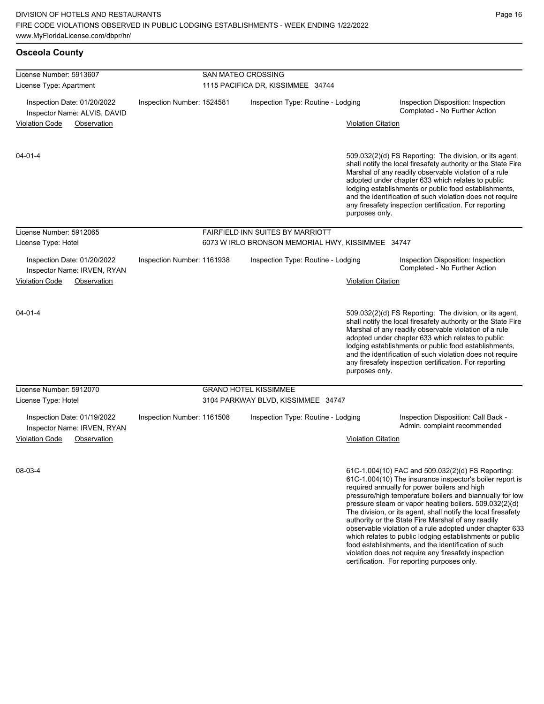| <b>Osceola County</b>                                                                     |                            |                                                                |                           |                                                                                                                                                                                                                                                                                                                                                                                                                                                                                                                                                                                                                                                                                                  |
|-------------------------------------------------------------------------------------------|----------------------------|----------------------------------------------------------------|---------------------------|--------------------------------------------------------------------------------------------------------------------------------------------------------------------------------------------------------------------------------------------------------------------------------------------------------------------------------------------------------------------------------------------------------------------------------------------------------------------------------------------------------------------------------------------------------------------------------------------------------------------------------------------------------------------------------------------------|
| License Number: 5913607<br>License Type: Apartment                                        |                            | <b>SAN MATEO CROSSING</b><br>1115 PACIFICA DR, KISSIMMEE 34744 |                           |                                                                                                                                                                                                                                                                                                                                                                                                                                                                                                                                                                                                                                                                                                  |
| Inspection Date: 01/20/2022<br>Inspection Number: 1524581<br>Inspector Name: ALVIS, DAVID |                            | Inspection Type: Routine - Lodging                             |                           | Inspection Disposition: Inspection<br>Completed - No Further Action                                                                                                                                                                                                                                                                                                                                                                                                                                                                                                                                                                                                                              |
| <b>Violation Code</b><br>Observation                                                      |                            |                                                                | <b>Violation Citation</b> |                                                                                                                                                                                                                                                                                                                                                                                                                                                                                                                                                                                                                                                                                                  |
| $04 - 01 - 4$                                                                             |                            |                                                                | purposes only.            | 509.032(2)(d) FS Reporting: The division, or its agent,<br>shall notify the local firesafety authority or the State Fire<br>Marshal of any readily observable violation of a rule<br>adopted under chapter 633 which relates to public<br>lodging establishments or public food establishments,<br>and the identification of such violation does not require<br>any firesafety inspection certification. For reporting                                                                                                                                                                                                                                                                           |
| License Number: 5912065                                                                   |                            | FAIRFIELD INN SUITES BY MARRIOTT                               |                           |                                                                                                                                                                                                                                                                                                                                                                                                                                                                                                                                                                                                                                                                                                  |
| License Type: Hotel                                                                       |                            | 6073 W IRLO BRONSON MEMORIAL HWY, KISSIMMEE 34747              |                           |                                                                                                                                                                                                                                                                                                                                                                                                                                                                                                                                                                                                                                                                                                  |
| Inspection Date: 01/20/2022<br>Inspector Name: IRVEN, RYAN                                | Inspection Number: 1161938 | Inspection Type: Routine - Lodging                             |                           | Inspection Disposition: Inspection<br>Completed - No Further Action                                                                                                                                                                                                                                                                                                                                                                                                                                                                                                                                                                                                                              |
| <b>Violation Code</b><br>Observation                                                      |                            |                                                                | <b>Violation Citation</b> |                                                                                                                                                                                                                                                                                                                                                                                                                                                                                                                                                                                                                                                                                                  |
| $04 - 01 - 4$                                                                             |                            |                                                                | purposes only.            | 509.032(2)(d) FS Reporting: The division, or its agent,<br>shall notify the local firesafety authority or the State Fire<br>Marshal of any readily observable violation of a rule<br>adopted under chapter 633 which relates to public<br>lodging establishments or public food establishments,<br>and the identification of such violation does not require<br>any firesafety inspection certification. For reporting                                                                                                                                                                                                                                                                           |
| License Number: 5912070                                                                   |                            | <b>GRAND HOTEL KISSIMMEE</b>                                   |                           |                                                                                                                                                                                                                                                                                                                                                                                                                                                                                                                                                                                                                                                                                                  |
| License Type: Hotel                                                                       |                            | 3104 PARKWAY BLVD, KISSIMMEE 34747                             |                           |                                                                                                                                                                                                                                                                                                                                                                                                                                                                                                                                                                                                                                                                                                  |
| Inspection Date: 01/19/2022<br>Inspector Name: IRVEN, RYAN                                | Inspection Number: 1161508 | Inspection Type: Routine - Lodging                             |                           | Inspection Disposition: Call Back -<br>Admin. complaint recommended                                                                                                                                                                                                                                                                                                                                                                                                                                                                                                                                                                                                                              |
| <b>Violation Code</b><br>Observation                                                      |                            |                                                                | <b>Violation Citation</b> |                                                                                                                                                                                                                                                                                                                                                                                                                                                                                                                                                                                                                                                                                                  |
| 08-03-4                                                                                   |                            |                                                                |                           | 61C-1.004(10) FAC and 509.032(2)(d) FS Reporting:<br>61C-1.004(10) The insurance inspector's boiler report is<br>required annually for power boilers and high<br>pressure/high temperature boilers and biannually for low<br>pressure steam or vapor heating boilers. 509.032(2)(d)<br>The division, or its agent, shall notify the local firesafety<br>authority or the State Fire Marshal of any readily<br>observable violation of a rule adopted under chapter 633<br>which relates to public lodging establishments or public<br>food establishments, and the identification of such<br>violation does not require any firesafety inspection<br>certification. For reporting purposes only. |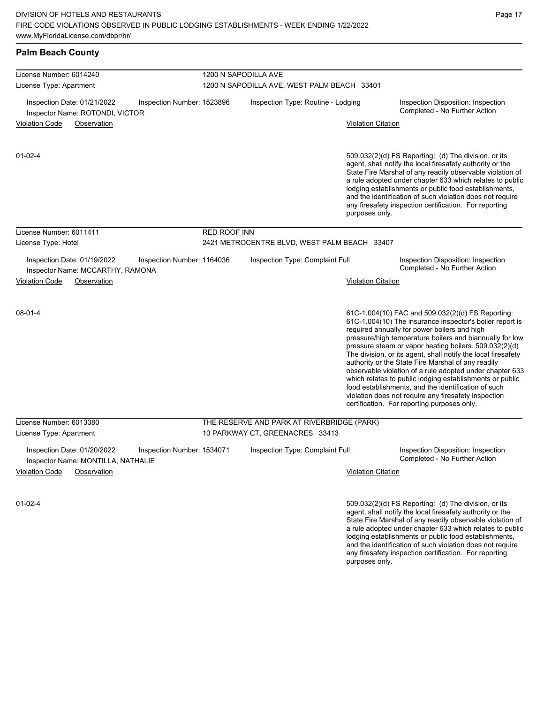| <b>Palm Beach County</b>                                                                        |                     |                                                                     |                           |                                                                                                                                                                                                                                                                                                                                                                                                                                                                                                                                                                                                                                                                                                  |
|-------------------------------------------------------------------------------------------------|---------------------|---------------------------------------------------------------------|---------------------------|--------------------------------------------------------------------------------------------------------------------------------------------------------------------------------------------------------------------------------------------------------------------------------------------------------------------------------------------------------------------------------------------------------------------------------------------------------------------------------------------------------------------------------------------------------------------------------------------------------------------------------------------------------------------------------------------------|
| License Number: 6014240<br>License Type: Apartment                                              |                     | 1200 N SAPODILLA AVE<br>1200 N SAPODILLA AVE, WEST PALM BEACH 33401 |                           |                                                                                                                                                                                                                                                                                                                                                                                                                                                                                                                                                                                                                                                                                                  |
| Inspection Date: 01/21/2022<br>Inspection Number: 1523896<br>Inspector Name: ROTONDI, VICTOR    |                     | Inspection Type: Routine - Lodging                                  |                           | Inspection Disposition: Inspection<br>Completed - No Further Action                                                                                                                                                                                                                                                                                                                                                                                                                                                                                                                                                                                                                              |
| <b>Violation Code</b><br>Observation                                                            |                     |                                                                     | <b>Violation Citation</b> |                                                                                                                                                                                                                                                                                                                                                                                                                                                                                                                                                                                                                                                                                                  |
| $01 - 02 - 4$                                                                                   |                     |                                                                     | purposes only.            | 509.032(2)(d) FS Reporting: (d) The division, or its<br>agent, shall notify the local firesafety authority or the<br>State Fire Marshal of any readily observable violation of<br>a rule adopted under chapter 633 which relates to public<br>lodging establishments or public food establishments,<br>and the identification of such violation does not require<br>any firesafety inspection certification. For reporting                                                                                                                                                                                                                                                                       |
| License Number: 6011411                                                                         | <b>RED ROOF INN</b> |                                                                     |                           |                                                                                                                                                                                                                                                                                                                                                                                                                                                                                                                                                                                                                                                                                                  |
| License Type: Hotel                                                                             |                     | 2421 METROCENTRE BLVD, WEST PALM BEACH 33407                        |                           |                                                                                                                                                                                                                                                                                                                                                                                                                                                                                                                                                                                                                                                                                                  |
| Inspection Date: 01/19/2022<br>Inspection Number: 1164036<br>Inspector Name: MCCARTHY, RAMONA   |                     | Inspection Type: Complaint Full                                     |                           | Inspection Disposition: Inspection<br>Completed - No Further Action                                                                                                                                                                                                                                                                                                                                                                                                                                                                                                                                                                                                                              |
| <b>Violation Code</b><br>Observation                                                            |                     |                                                                     | <b>Violation Citation</b> |                                                                                                                                                                                                                                                                                                                                                                                                                                                                                                                                                                                                                                                                                                  |
| $08 - 01 - 4$                                                                                   |                     |                                                                     |                           | 61C-1.004(10) FAC and 509.032(2)(d) FS Reporting:<br>61C-1.004(10) The insurance inspector's boiler report is<br>required annually for power boilers and high<br>pressure/high temperature boilers and biannually for low<br>pressure steam or vapor heating boilers. 509.032(2)(d)<br>The division, or its agent, shall notify the local firesafety<br>authority or the State Fire Marshal of any readily<br>observable violation of a rule adopted under chapter 633<br>which relates to public lodging establishments or public<br>food establishments, and the identification of such<br>violation does not require any firesafety inspection<br>certification. For reporting purposes only. |
| License Number: 6013380                                                                         |                     | THE RESERVE AND PARK AT RIVERBRIDGE (PARK)                          |                           |                                                                                                                                                                                                                                                                                                                                                                                                                                                                                                                                                                                                                                                                                                  |
| License Type: Apartment                                                                         |                     | 10 PARKWAY CT, GREENACRES 33413                                     |                           |                                                                                                                                                                                                                                                                                                                                                                                                                                                                                                                                                                                                                                                                                                  |
| Inspection Date: 01/20/2022<br>Inspection Number: 1534071<br>Inspector Name: MONTILLA, NATHALIE |                     | Inspection Type: Complaint Full                                     |                           | Inspection Disposition: Inspection<br>Completed - No Further Action                                                                                                                                                                                                                                                                                                                                                                                                                                                                                                                                                                                                                              |
| <b>Violation Code</b><br>Observation                                                            |                     |                                                                     | <b>Violation Citation</b> |                                                                                                                                                                                                                                                                                                                                                                                                                                                                                                                                                                                                                                                                                                  |
| $01 - 02 - 4$                                                                                   |                     |                                                                     |                           | 509.032(2)(d) FS Reporting: (d) The division, or its<br>agent, shall notify the local firesafety authority or the<br>State Fire Marshal of any readily observable violation of<br>a rule adopted under chapter 633 which relates to public<br>lodging establishments or public food establishments,<br>and the identification of such violation does not require                                                                                                                                                                                                                                                                                                                                 |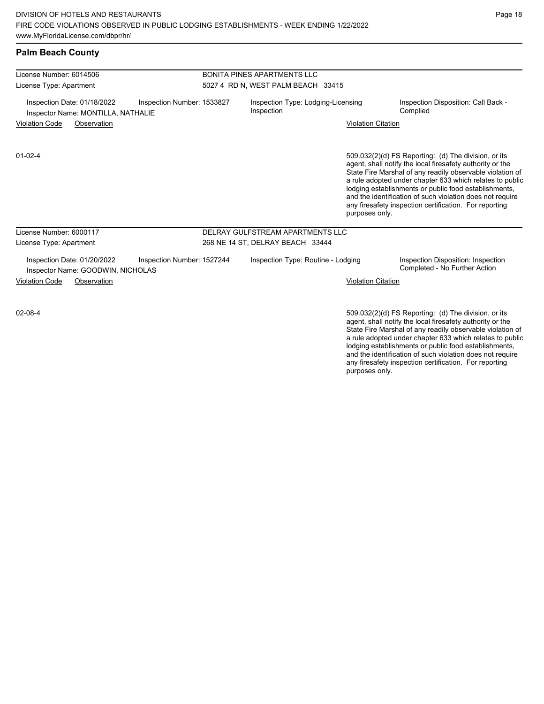| License Number: 6014506                                                                                                                | <b>BONITA PINES APARTMENTS LLC</b>               |                           |                                                                                                                                                                                                                                                                                                                                                                                                                            |  |  |
|----------------------------------------------------------------------------------------------------------------------------------------|--------------------------------------------------|---------------------------|----------------------------------------------------------------------------------------------------------------------------------------------------------------------------------------------------------------------------------------------------------------------------------------------------------------------------------------------------------------------------------------------------------------------------|--|--|
| License Type: Apartment                                                                                                                | 5027 4 RD N, WEST PALM BEACH 33415               |                           |                                                                                                                                                                                                                                                                                                                                                                                                                            |  |  |
| Inspection Number: 1533827<br>Inspection Date: 01/18/2022<br>Inspector Name: MONTILLA, NATHALIE                                        | Inspection Type: Lodging-Licensing<br>Inspection |                           | Inspection Disposition: Call Back -<br>Complied                                                                                                                                                                                                                                                                                                                                                                            |  |  |
| Violation Code<br>Observation                                                                                                          |                                                  | <b>Violation Citation</b> |                                                                                                                                                                                                                                                                                                                                                                                                                            |  |  |
| $01 - 02 - 4$                                                                                                                          |                                                  | purposes only.            | 509.032(2)(d) FS Reporting: (d) The division, or its<br>agent, shall notify the local firesafety authority or the<br>State Fire Marshal of any readily observable violation of<br>a rule adopted under chapter 633 which relates to public<br>lodging establishments or public food establishments,<br>and the identification of such violation does not require<br>any firesafety inspection certification. For reporting |  |  |
| License Number: 6000117                                                                                                                | DELRAY GULFSTREAM APARTMENTS LLC                 |                           |                                                                                                                                                                                                                                                                                                                                                                                                                            |  |  |
| License Type: Apartment                                                                                                                | 268 NE 14 ST, DELRAY BEACH 33444                 |                           |                                                                                                                                                                                                                                                                                                                                                                                                                            |  |  |
| Inspection Date: 01/20/2022<br>Inspection Number: 1527244<br>Inspector Name: GOODWIN, NICHOLAS<br><b>Violation Code</b><br>Observation | Inspection Type: Routine - Lodging               | <b>Violation Citation</b> | Inspection Disposition: Inspection<br>Completed - No Further Action                                                                                                                                                                                                                                                                                                                                                        |  |  |
| $02 - 08 - 4$                                                                                                                          |                                                  |                           | 509.032(2)(d) FS Reporting: (d) The division, or its                                                                                                                                                                                                                                                                                                                                                                       |  |  |

agent, shall notify the local firesafety authority or the State Fire Marshal of any readily observable violation of a rule adopted under chapter 633 which relates to public lodging establishments or public food establishments, and the identification of such violation does not require any firesafety inspection certification. For reporting purposes only.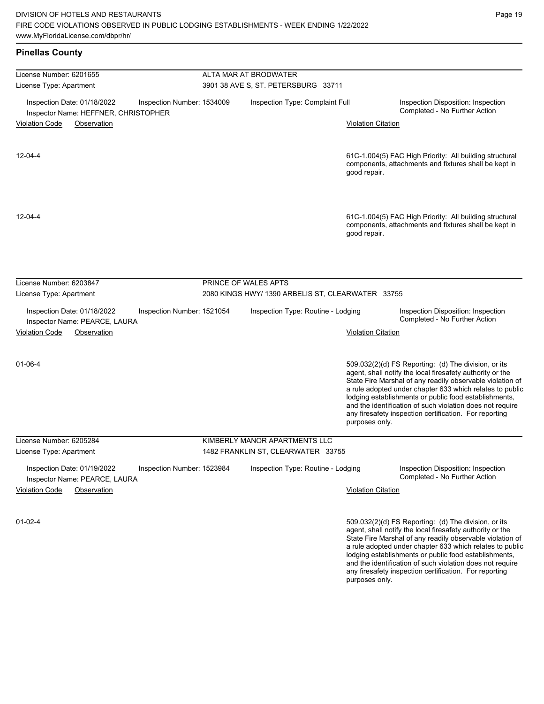and the identification of such violation does not require any firesafety inspection certification. For reporting

| <b>Pinellas County</b>                                                                            |                                                                           |                           |                                                                                                                                                                                                                                                                                                                                                                                                                            |
|---------------------------------------------------------------------------------------------------|---------------------------------------------------------------------------|---------------------------|----------------------------------------------------------------------------------------------------------------------------------------------------------------------------------------------------------------------------------------------------------------------------------------------------------------------------------------------------------------------------------------------------------------------------|
| License Number: 6201655                                                                           | ALTA MAR AT BRODWATER                                                     |                           |                                                                                                                                                                                                                                                                                                                                                                                                                            |
| License Type: Apartment                                                                           | 3901 38 AVE S, ST. PETERSBURG 33711                                       |                           |                                                                                                                                                                                                                                                                                                                                                                                                                            |
| Inspection Date: 01/18/2022<br>Inspection Number: 1534009<br>Inspector Name: HEFFNER, CHRISTOPHER | Inspection Type: Complaint Full                                           |                           | Inspection Disposition: Inspection<br>Completed - No Further Action                                                                                                                                                                                                                                                                                                                                                        |
| <b>Violation Code</b><br>Observation                                                              |                                                                           | <b>Violation Citation</b> |                                                                                                                                                                                                                                                                                                                                                                                                                            |
| $12 - 04 - 4$                                                                                     |                                                                           | good repair.              | 61C-1.004(5) FAC High Priority: All building structural<br>components, attachments and fixtures shall be kept in                                                                                                                                                                                                                                                                                                           |
| $12 - 04 - 4$                                                                                     |                                                                           | good repair.              | 61C-1.004(5) FAC High Priority: All building structural<br>components, attachments and fixtures shall be kept in                                                                                                                                                                                                                                                                                                           |
| License Number: 6203847                                                                           | PRINCE OF WALES APTS<br>2080 KINGS HWY/ 1390 ARBELIS ST, CLEARWATER 33755 |                           |                                                                                                                                                                                                                                                                                                                                                                                                                            |
| License Type: Apartment                                                                           |                                                                           |                           |                                                                                                                                                                                                                                                                                                                                                                                                                            |
| Inspection Date: 01/18/2022<br>Inspection Number: 1521054<br>Inspector Name: PEARCE, LAURA        | Inspection Type: Routine - Lodging                                        |                           | Inspection Disposition: Inspection<br>Completed - No Further Action                                                                                                                                                                                                                                                                                                                                                        |
| <b>Violation Code</b><br>Observation                                                              |                                                                           | <b>Violation Citation</b> |                                                                                                                                                                                                                                                                                                                                                                                                                            |
| $01 - 06 - 4$                                                                                     |                                                                           | purposes only.            | 509.032(2)(d) FS Reporting: (d) The division, or its<br>agent, shall notify the local firesafety authority or the<br>State Fire Marshal of any readily observable violation of<br>a rule adopted under chapter 633 which relates to public<br>lodging establishments or public food establishments,<br>and the identification of such violation does not require<br>any firesafety inspection certification. For reporting |
| License Number: 6205284                                                                           | KIMBERLY MANOR APARTMENTS LLC                                             |                           |                                                                                                                                                                                                                                                                                                                                                                                                                            |
| License Type: Apartment                                                                           | 1482 FRANKLIN ST, CLEARWATER 33755                                        |                           |                                                                                                                                                                                                                                                                                                                                                                                                                            |
| Inspection Date: 01/19/2022<br>Inspection Number: 1523984<br>Inspector Name: PEARCE, LAURA        | Inspection Type: Routine - Lodging                                        |                           | Inspection Disposition: Inspection<br>Completed - No Further Action                                                                                                                                                                                                                                                                                                                                                        |
| <b>Violation Code</b><br>Observation                                                              |                                                                           | <b>Violation Citation</b> |                                                                                                                                                                                                                                                                                                                                                                                                                            |
| 01-02-4                                                                                           |                                                                           |                           | 509.032(2)(d) FS Reporting (d) The division, or its<br>agent, shall notify the local firesafety authority or the<br>State Fire Marshal of any readily observable violation of<br>a rule adopted under chapter 633 which relates to public<br>lodging establishments or public food establishments,                                                                                                                         |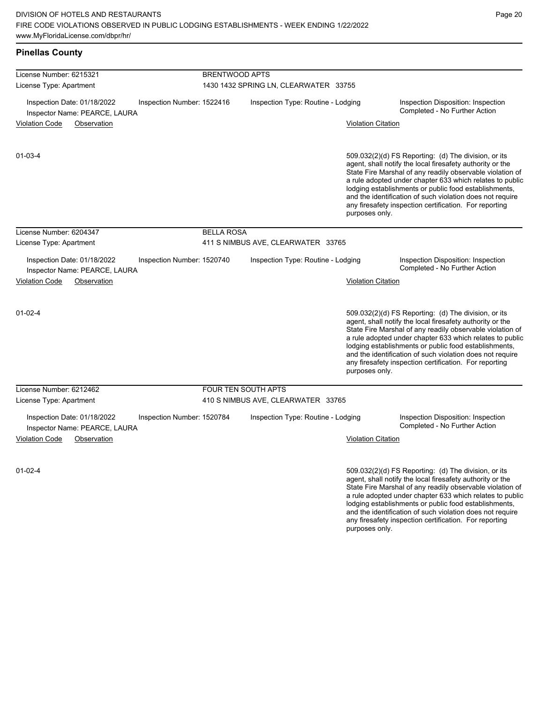and the identification of such violation does not require any firesafety inspection certification. For reporting

| <b>Pinellas County</b>                                                                     |                       |                                       |                           |                                                                                                                                                                                                                                                                                                                                                                                                                            |
|--------------------------------------------------------------------------------------------|-----------------------|---------------------------------------|---------------------------|----------------------------------------------------------------------------------------------------------------------------------------------------------------------------------------------------------------------------------------------------------------------------------------------------------------------------------------------------------------------------------------------------------------------------|
| License Number: 6215321                                                                    | <b>BRENTWOOD APTS</b> |                                       |                           |                                                                                                                                                                                                                                                                                                                                                                                                                            |
| License Type: Apartment                                                                    |                       | 1430 1432 SPRING LN, CLEARWATER 33755 |                           |                                                                                                                                                                                                                                                                                                                                                                                                                            |
| Inspection Date: 01/18/2022<br>Inspection Number: 1522416<br>Inspector Name: PEARCE, LAURA |                       | Inspection Type: Routine - Lodging    |                           | Inspection Disposition: Inspection<br>Completed - No Further Action                                                                                                                                                                                                                                                                                                                                                        |
| <b>Violation Code</b><br>Observation                                                       |                       |                                       | <b>Violation Citation</b> |                                                                                                                                                                                                                                                                                                                                                                                                                            |
| $01 - 03 - 4$                                                                              |                       |                                       | purposes only.            | 509.032(2)(d) FS Reporting: (d) The division, or its<br>agent, shall notify the local firesafety authority or the<br>State Fire Marshal of any readily observable violation of<br>a rule adopted under chapter 633 which relates to public<br>lodging establishments or public food establishments,<br>and the identification of such violation does not require<br>any firesafety inspection certification. For reporting |
| License Number: 6204347                                                                    | <b>BELLA ROSA</b>     |                                       |                           |                                                                                                                                                                                                                                                                                                                                                                                                                            |
| License Type: Apartment                                                                    |                       | 411 S NIMBUS AVE, CLEARWATER 33765    |                           |                                                                                                                                                                                                                                                                                                                                                                                                                            |
| Inspection Date: 01/18/2022<br>Inspection Number: 1520740<br>Inspector Name: PEARCE, LAURA |                       | Inspection Type: Routine - Lodging    |                           | Inspection Disposition: Inspection<br>Completed - No Further Action                                                                                                                                                                                                                                                                                                                                                        |
| <b>Violation Code</b><br>Observation                                                       |                       |                                       | <b>Violation Citation</b> |                                                                                                                                                                                                                                                                                                                                                                                                                            |
| $01 - 02 - 4$                                                                              |                       |                                       | purposes only.            | 509.032(2)(d) FS Reporting: (d) The division, or its<br>agent, shall notify the local firesafety authority or the<br>State Fire Marshal of any readily observable violation of<br>a rule adopted under chapter 633 which relates to public<br>lodging establishments or public food establishments,<br>and the identification of such violation does not require<br>any firesafety inspection certification. For reporting |
| License Number: 6212462                                                                    |                       | FOUR TEN SOUTH APTS                   |                           |                                                                                                                                                                                                                                                                                                                                                                                                                            |
| License Type: Apartment                                                                    |                       | 410 S NIMBUS AVE, CLEARWATER 33765    |                           |                                                                                                                                                                                                                                                                                                                                                                                                                            |
| Inspection Date: 01/18/2022<br>Inspection Number: 1520784<br>Inspector Name: PEARCE, LAURA |                       | Inspection Type: Routine - Lodging    |                           | Inspection Disposition: Inspection<br>Completed - No Further Action                                                                                                                                                                                                                                                                                                                                                        |
| <b>Violation Code</b><br>Observation                                                       |                       |                                       | <b>Violation Citation</b> |                                                                                                                                                                                                                                                                                                                                                                                                                            |
| $01 - 02 - 4$                                                                              |                       |                                       |                           | 509.032(2)(d) FS Reporting: (d) The division, or its<br>agent, shall notify the local firesafety authority or the<br>State Fire Marshal of any readily observable violation of<br>a rule adopted under chapter 633 which relates to public<br>lodging establishments or public food establishments,                                                                                                                        |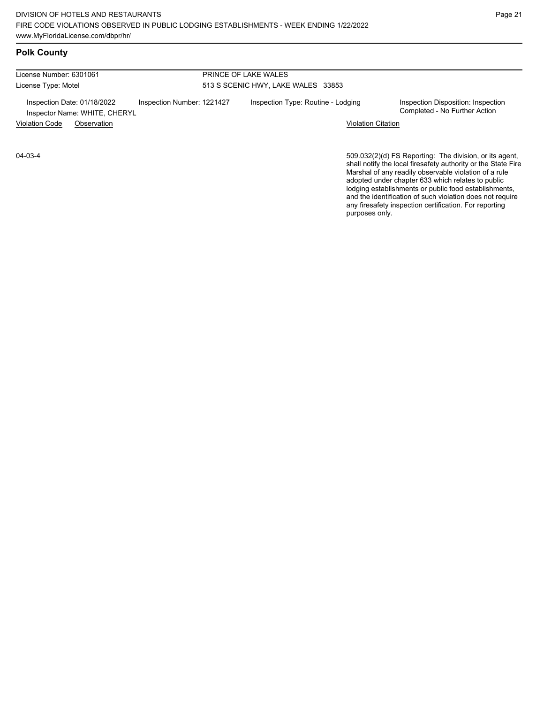# **Polk County**

| License Number: 6301061                                      |                            | PRINCE OF LAKE WALES               |                                                                     |  |
|--------------------------------------------------------------|----------------------------|------------------------------------|---------------------------------------------------------------------|--|
| License Type: Motel                                          |                            | 513 S SCENIC HWY, LAKE WALES 33853 |                                                                     |  |
| Inspection Date: 01/18/2022<br>Inspector Name: WHITE, CHERYL | Inspection Number: 1221427 | Inspection Type: Routine - Lodging | Inspection Disposition: Inspection<br>Completed - No Further Action |  |
| <b>Violation Code</b><br>Observation                         |                            | <b>Violation Citation</b>          |                                                                     |  |

04-03-4

509.032(2)(d) FS Reporting: The division, or its agent, shall notify the local firesafety authority or the State Fire Marshal of any readily observable violation of a rule adopted under chapter 633 which relates to public lodging establishments or public food establishments, and the identification of such violation does not require any firesafety inspection certification. For reporting purposes only.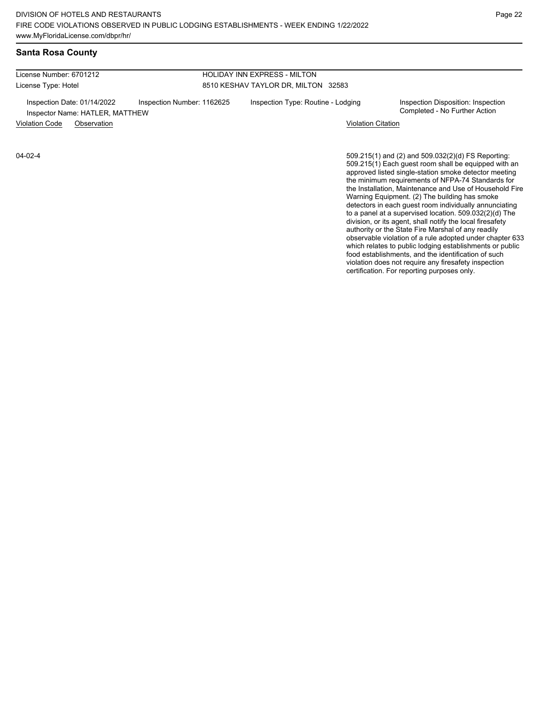### **Santa Rosa County**

License Number: 6701212 License Type: Hotel

04-02-4

#### HOLIDAY INN EXPRESS - MILTON 8510 KESHAV TAYLOR DR, MILTON 32583

Inspection Date: 01/14/2022 Inspection Number: 1162625 Inspection Type: Routine - Lodging Inspection Disposition: Inspection<br>Inspector Name: HATLER MATTHEW Inspector Name: HATLER, MATTHEW

Violation Code Observation Violation Citation

509.215(1) and (2) and 509.032(2)(d) FS Reporting: 509.215(1) Each guest room shall be equipped with an approved listed single-station smoke detector meeting the minimum requirements of NFPA-74 Standards for the Installation, Maintenance and Use of Household Fire Warning Equipment. (2) The building has smoke detectors in each guest room individually annunciating to a panel at a supervised location. 509.032(2)(d) The division, or its agent, shall notify the local firesafety authority or the State Fire Marshal of any readily observable violation of a rule adopted under chapter 633 which relates to public lodging establishments or public food establishments, and the identification of such violation does not require any firesafety inspection certification. For reporting purposes only.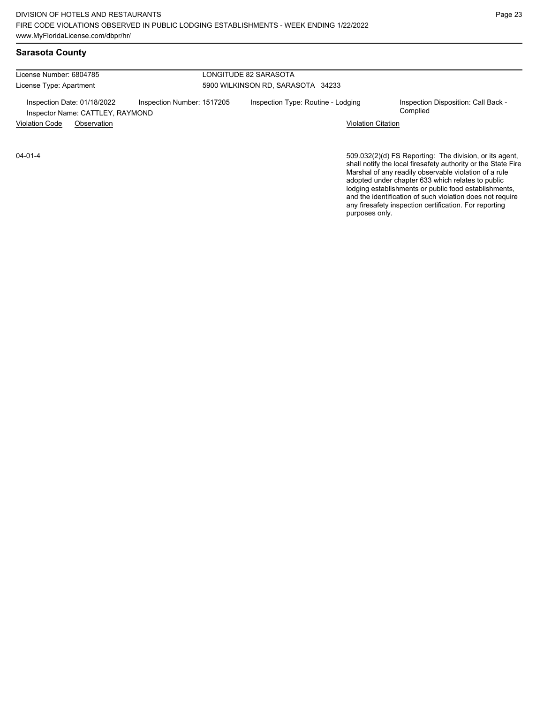| License Type: Apartment                                                                       | 5900 WILKINSON RD, SARASOTA 34233                                                     |
|-----------------------------------------------------------------------------------------------|---------------------------------------------------------------------------------------|
| Inspection Date: 01/18/2022<br>Inspection Number: 1517205<br>Inspector Name: CATTLEY, RAYMOND | Inspection Type: Routine - Lodging<br>Inspection Disposition: Call Back -<br>Complied |
| <b>Violation Code</b><br>Observation                                                          | <b>Violation Citation</b>                                                             |

04-01-4

509.032(2)(d) FS Reporting: The division, or its agent, shall notify the local firesafety authority or the State Fire Marshal of any readily observable violation of a rule adopted under chapter 633 which relates to public lodging establishments or public food establishments, and the identification of such violation does not require any firesafety inspection certification. For reporting purposes only.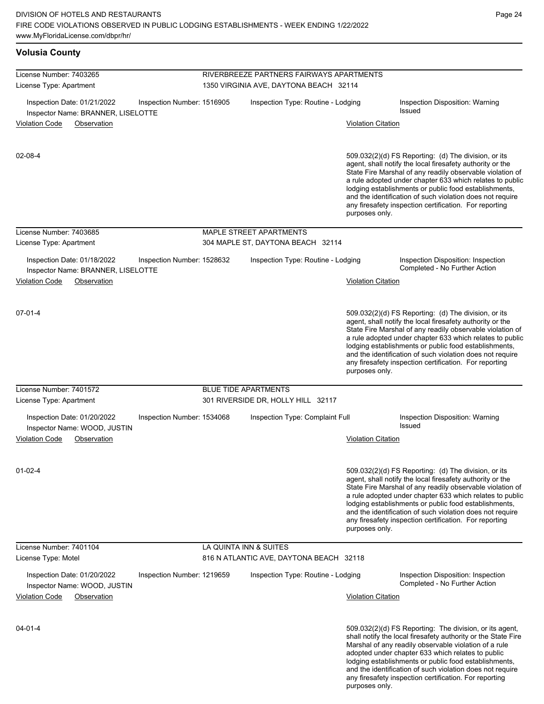| <b>Volusia County</b>                                                                                     |                            |                                                                                    |                           |                                                                                                                                                                                                                                                                                                                                                                                                                            |
|-----------------------------------------------------------------------------------------------------------|----------------------------|------------------------------------------------------------------------------------|---------------------------|----------------------------------------------------------------------------------------------------------------------------------------------------------------------------------------------------------------------------------------------------------------------------------------------------------------------------------------------------------------------------------------------------------------------------|
| License Number: 7403265<br>License Type: Apartment                                                        |                            | RIVERBREEZE PARTNERS FAIRWAYS APARTMENTS<br>1350 VIRGINIA AVE, DAYTONA BEACH 32114 |                           |                                                                                                                                                                                                                                                                                                                                                                                                                            |
| Inspection Date: 01/21/2022<br>Inspector Name: BRANNER, LISELOTTE<br><b>Violation Code</b><br>Observation | Inspection Number: 1516905 | Inspection Type: Routine - Lodging                                                 | <b>Violation Citation</b> | Inspection Disposition: Warning<br>Issued                                                                                                                                                                                                                                                                                                                                                                                  |
| $02 - 08 - 4$                                                                                             |                            |                                                                                    | purposes only.            | 509.032(2)(d) FS Reporting: (d) The division, or its<br>agent, shall notify the local firesafety authority or the<br>State Fire Marshal of any readily observable violation of<br>a rule adopted under chapter 633 which relates to public<br>lodging establishments or public food establishments,<br>and the identification of such violation does not require<br>any firesafety inspection certification. For reporting |
| License Number: 7403685                                                                                   |                            | <b>MAPLE STREET APARTMENTS</b>                                                     |                           |                                                                                                                                                                                                                                                                                                                                                                                                                            |
| License Type: Apartment                                                                                   |                            | 304 MAPLE ST, DAYTONA BEACH 32114                                                  |                           |                                                                                                                                                                                                                                                                                                                                                                                                                            |
| Inspection Date: 01/18/2022<br>Inspector Name: BRANNER, LISELOTTE<br><b>Violation Code</b><br>Observation | Inspection Number: 1528632 | Inspection Type: Routine - Lodging                                                 | <b>Violation Citation</b> | Inspection Disposition: Inspection<br>Completed - No Further Action                                                                                                                                                                                                                                                                                                                                                        |
| $07 - 01 - 4$                                                                                             |                            |                                                                                    | purposes only.            | 509.032(2)(d) FS Reporting: (d) The division, or its<br>agent, shall notify the local firesafety authority or the<br>State Fire Marshal of any readily observable violation of<br>a rule adopted under chapter 633 which relates to public<br>lodging establishments or public food establishments,<br>and the identification of such violation does not require<br>any firesafety inspection certification. For reporting |
| License Number: 7401572                                                                                   |                            | <b>BLUE TIDE APARTMENTS</b>                                                        |                           |                                                                                                                                                                                                                                                                                                                                                                                                                            |
| License Type: Apartment                                                                                   |                            | 301 RIVERSIDE DR, HOLLY HILL 32117                                                 |                           |                                                                                                                                                                                                                                                                                                                                                                                                                            |
| Inspection Date: 01/20/2022<br>Inspector Name: WOOD, JUSTIN<br><b>Violation Code</b><br>Observation       | Inspection Number: 1534068 | Inspection Type: Complaint Full                                                    | <b>Violation Citation</b> | Inspection Disposition: Warning<br><b>Issued</b>                                                                                                                                                                                                                                                                                                                                                                           |
| $01 - 02 - 4$                                                                                             |                            |                                                                                    | purposes only.            | 509.032(2)(d) FS Reporting: (d) The division, or its<br>agent, shall notify the local firesafety authority or the<br>State Fire Marshal of any readily observable violation of<br>a rule adopted under chapter 633 which relates to public<br>lodging establishments or public food establishments,<br>and the identification of such violation does not require<br>any firesafety inspection certification. For reporting |
| License Number: 7401104                                                                                   |                            | LA QUINTA INN & SUITES                                                             |                           |                                                                                                                                                                                                                                                                                                                                                                                                                            |
| License Type: Motel                                                                                       |                            | 816 N ATLANTIC AVE, DAYTONA BEACH 32118                                            |                           |                                                                                                                                                                                                                                                                                                                                                                                                                            |
| Inspection Date: 01/20/2022<br>Inspector Name: WOOD, JUSTIN<br><b>Violation Code</b><br>Observation       | Inspection Number: 1219659 | Inspection Type: Routine - Lodging                                                 | <b>Violation Citation</b> | Inspection Disposition: Inspection<br>Completed - No Further Action                                                                                                                                                                                                                                                                                                                                                        |
| $04 - 01 - 4$                                                                                             |                            |                                                                                    |                           | 509.032(2)(d) FS Reporting: The division, or its agent,<br>shall notify the local firesafety authority or the State Fire<br>Marshal of any readily observable violation of a rule<br>adopted under chapter 633 which relates to public<br>lodging establishments or public food establishments,<br>and the identification of such violation does not require                                                               |